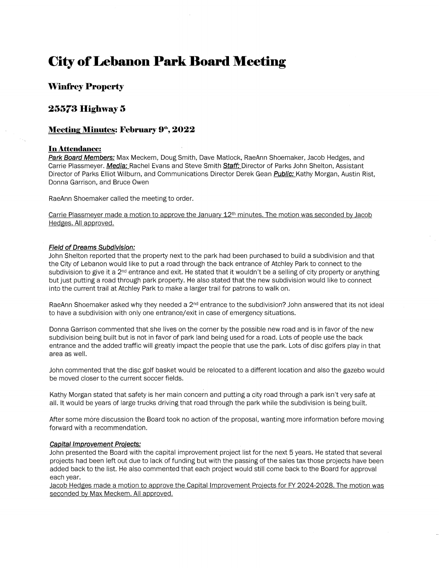# **City of Lebanon Park Board Meeting**

## **Winfrey Property**

## **25573 Highway 5**

### **Meeting Minutes: February 9<sup>th</sup>, 2022**

#### **In Attendance:**

**Park Board Members:** Max Meckem, Doug Smith, Dave Matlock, RaeAnn Shoemaker, Jacob Hedges, and Carrie Plassmeyer. **Media:** Rachel Evans and Steve Smith **Staff:** Director of Parks John Shelton, Assistant Director of Parks Elliot Wilburn, and Communications Director Derek Gean **Public:** Kathy Morgan, Austin Rist, Donna Garrison, and Bruce Owen

RaeAnn Shoemaker called the meeting to order.

Carrie Plassmeyer made a motion to approve the January 12<sup>th</sup> minutes. The motion was seconded by Jacob Hedges. All approved.

#### **Field of Dreams Subdivision:**

John Shelton reported that the property next to the park had been purchased to build a subdivision and that the City of Lebanon would like to put a road through the back entrance of Atchley Park to connect to the subdivision to give it a 2<sup>nd</sup> entrance and exit. He stated that it wouldn't be a selling of city property or anything but just putting a road through park property. He also stated that the new subdivision would like to connect into the current trail at Atchley Park to make a larger trail for patrons to walk on.

RaeAnn Shoemaker asked why they needed a 2<sup>nd</sup> entrance to the subdivision? John answered that its not ideal to have a subdivision with only one entrance/exit in case of emergency situations.

Donna Garrison commented that she lives on the corner by the possible new road and is in favor of the new subdivision being built but is not in favor of park land being used for a road. Lots of people use the back entrance and the added traffic will greatly impact the people that use the park. Lots of disc golfers play in that area as well.

John commented that the disc golf basket would be relocated to a different location and also the gazebo would be moved closer to the current soccer fields.

Kathy Morgan stated that safety is her main concern and putting a city road through a park isn't very safe at all. It would be years of large trucks driving that road through the park while the subdivision is being built.

After some more discussion the Board took no action of the proposal, wanting more information before moving forward with a recommendation.

#### **Capital Improvement Proiects:**

John presented the Board with the capital improvement project list for the next 5 years. He stated that several projects had been left out due to lack of funding but with the passing of the sales tax those projects have been added back to the list. He also commented that each project would still come back to the Board for approval each year.

Jacob Hedges made a motion to approve the Capital Improvement Proiects for FY 2024-2028. The motion was seconded by Max Meckem. All approved.